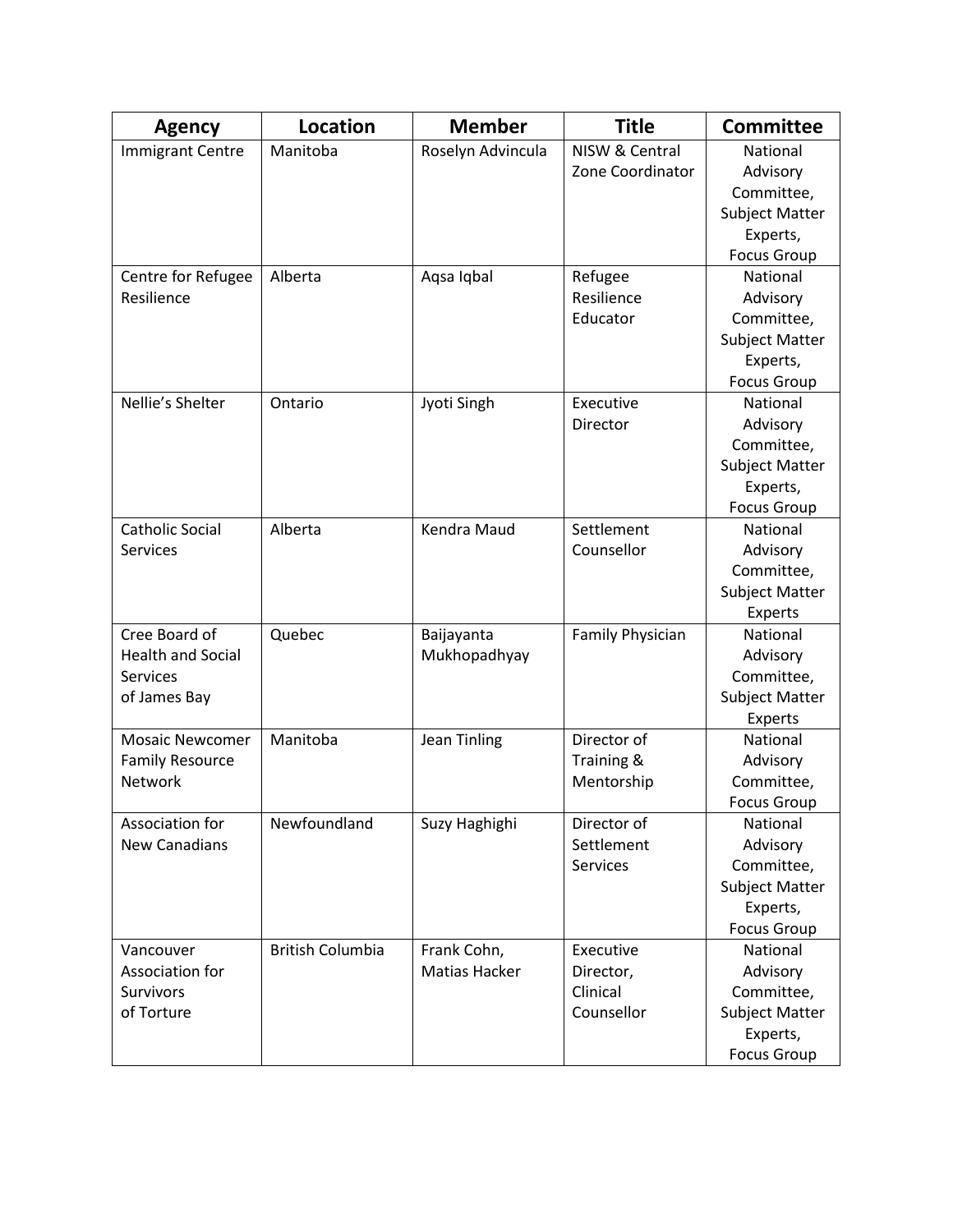| <b>Agency</b>            | <b>Location</b>         | <b>Member</b>       | <b>Title</b>     | <b>Committee</b>      |
|--------------------------|-------------------------|---------------------|------------------|-----------------------|
| <b>Immigrant Centre</b>  | Manitoba                | Roselyn Advincula   | NISW & Central   | National              |
|                          |                         |                     | Zone Coordinator | Advisory              |
|                          |                         |                     |                  | Committee,            |
|                          |                         |                     |                  | <b>Subject Matter</b> |
|                          |                         |                     |                  | Experts,              |
|                          |                         |                     |                  | <b>Focus Group</b>    |
| Centre for Refugee       | Alberta                 | Aqsa Iqbal          | Refugee          | National              |
| Resilience               |                         |                     | Resilience       | Advisory              |
|                          |                         |                     | Educator         | Committee,            |
|                          |                         |                     |                  | <b>Subject Matter</b> |
|                          |                         |                     |                  | Experts,              |
|                          |                         |                     |                  | <b>Focus Group</b>    |
| Nellie's Shelter         | Ontario                 | Jyoti Singh         | Executive        | National              |
|                          |                         |                     | Director         | Advisory              |
|                          |                         |                     |                  | Committee,            |
|                          |                         |                     |                  | <b>Subject Matter</b> |
|                          |                         |                     |                  | Experts,              |
|                          |                         |                     |                  | <b>Focus Group</b>    |
| <b>Catholic Social</b>   | Alberta                 | Kendra Maud         | Settlement       | National              |
| <b>Services</b>          |                         |                     | Counsellor       | Advisory              |
|                          |                         |                     |                  | Committee,            |
|                          |                         |                     |                  | <b>Subject Matter</b> |
|                          |                         |                     |                  | Experts               |
| Cree Board of            | Quebec                  | Baijayanta          | Family Physician | National              |
| <b>Health and Social</b> |                         | Mukhopadhyay        |                  | Advisory              |
| <b>Services</b>          |                         |                     |                  | Committee,            |
| of James Bay             |                         |                     |                  | <b>Subject Matter</b> |
|                          |                         |                     |                  | Experts               |
| <b>Mosaic Newcomer</b>   | Manitoba                | <b>Jean Tinling</b> | Director of      | National              |
| <b>Family Resource</b>   |                         |                     | Training &       | Advisory              |
| Network                  |                         |                     | Mentorship       | Committee,            |
|                          |                         |                     |                  | <b>Focus Group</b>    |
| Association for          | Newfoundland            | Suzy Haghighi       | Director of      | National              |
| <b>New Canadians</b>     |                         |                     | Settlement       | Advisory              |
|                          |                         |                     | Services         | Committee,            |
|                          |                         |                     |                  | Subject Matter        |
|                          |                         |                     |                  | Experts,              |
|                          |                         |                     |                  | <b>Focus Group</b>    |
| Vancouver                | <b>British Columbia</b> | Frank Cohn,         | Executive        | National              |
| Association for          |                         | Matias Hacker       | Director,        | Advisory              |
| <b>Survivors</b>         |                         |                     | Clinical         | Committee,            |
| of Torture               |                         |                     | Counsellor       | <b>Subject Matter</b> |
|                          |                         |                     |                  | Experts,              |
|                          |                         |                     |                  | <b>Focus Group</b>    |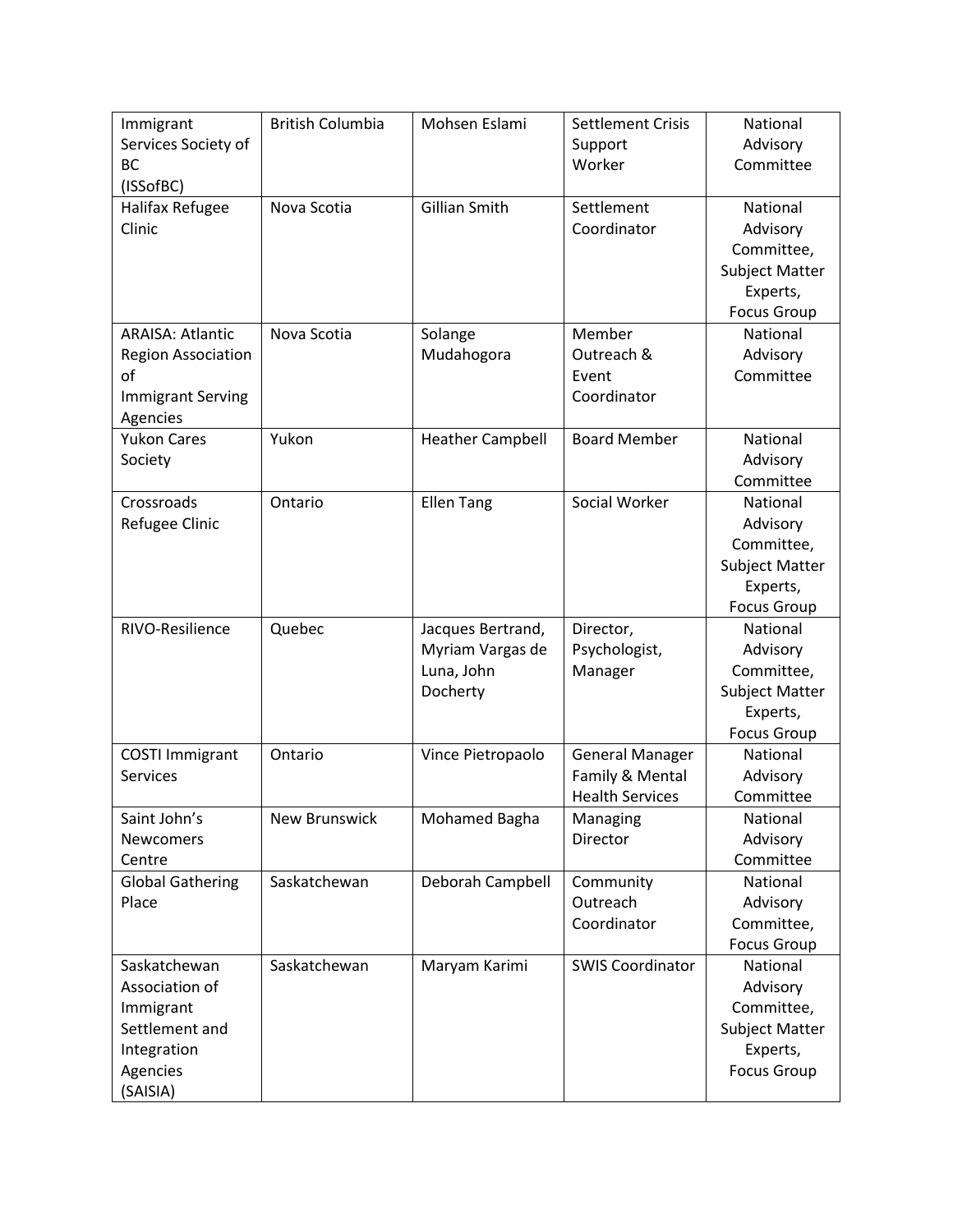| Immigrant                 | <b>British Columbia</b> | Mohsen Eslami           | <b>Settlement Crisis</b> | National              |
|---------------------------|-------------------------|-------------------------|--------------------------|-----------------------|
| Services Society of       |                         |                         | Support                  | Advisory              |
| <b>BC</b>                 |                         |                         | Worker                   | Committee             |
| (ISSofBC)                 |                         |                         |                          |                       |
| Halifax Refugee           | Nova Scotia             | <b>Gillian Smith</b>    | Settlement               | National              |
| Clinic                    |                         |                         | Coordinator              | Advisory              |
|                           |                         |                         |                          | Committee,            |
|                           |                         |                         |                          | <b>Subject Matter</b> |
|                           |                         |                         |                          | Experts,              |
|                           |                         |                         |                          | <b>Focus Group</b>    |
| <b>ARAISA: Atlantic</b>   | Nova Scotia             | Solange                 | Member                   | National              |
| <b>Region Association</b> |                         | Mudahogora              | Outreach &               | Advisory              |
| of                        |                         |                         | Event                    | Committee             |
| <b>Immigrant Serving</b>  |                         |                         | Coordinator              |                       |
| Agencies                  |                         |                         |                          |                       |
| <b>Yukon Cares</b>        | Yukon                   | <b>Heather Campbell</b> | <b>Board Member</b>      | National              |
| Society                   |                         |                         |                          | Advisory              |
|                           |                         |                         |                          | Committee             |
| Crossroads                | Ontario                 | <b>Ellen Tang</b>       | Social Worker            | National              |
| Refugee Clinic            |                         |                         |                          | Advisory              |
|                           |                         |                         |                          | Committee,            |
|                           |                         |                         |                          | <b>Subject Matter</b> |
|                           |                         |                         |                          | Experts,              |
|                           |                         |                         |                          | <b>Focus Group</b>    |
| RIVO-Resilience           | Quebec                  | Jacques Bertrand,       | Director,                | National              |
|                           |                         | Myriam Vargas de        | Psychologist,            | Advisory              |
|                           |                         | Luna, John              | Manager                  | Committee,            |
|                           |                         | Docherty                |                          | <b>Subject Matter</b> |
|                           |                         |                         |                          | Experts,              |
|                           |                         |                         |                          | <b>Focus Group</b>    |
| <b>COSTI Immigrant</b>    | Ontario                 | Vince Pietropaolo       | <b>General Manager</b>   | National              |
| Services                  |                         |                         | Family & Mental          | Advisory              |
|                           |                         |                         | <b>Health Services</b>   | Committee             |
| Saint John's              | <b>New Brunswick</b>    | Mohamed Bagha           | Managing                 | National              |
| Newcomers                 |                         |                         | Director                 | Advisory              |
| Centre                    |                         |                         |                          | Committee             |
| <b>Global Gathering</b>   | Saskatchewan            | Deborah Campbell        | Community                | National              |
| Place                     |                         |                         | Outreach                 | Advisory              |
|                           |                         |                         | Coordinator              | Committee,            |
|                           |                         |                         |                          | <b>Focus Group</b>    |
| Saskatchewan              | Saskatchewan            | Maryam Karimi           | <b>SWIS Coordinator</b>  | National              |
| Association of            |                         |                         |                          | Advisory              |
| Immigrant                 |                         |                         |                          | Committee,            |
| Settlement and            |                         |                         |                          | <b>Subject Matter</b> |
| Integration               |                         |                         |                          | Experts,              |
| Agencies                  |                         |                         |                          | <b>Focus Group</b>    |
| (SAISIA)                  |                         |                         |                          |                       |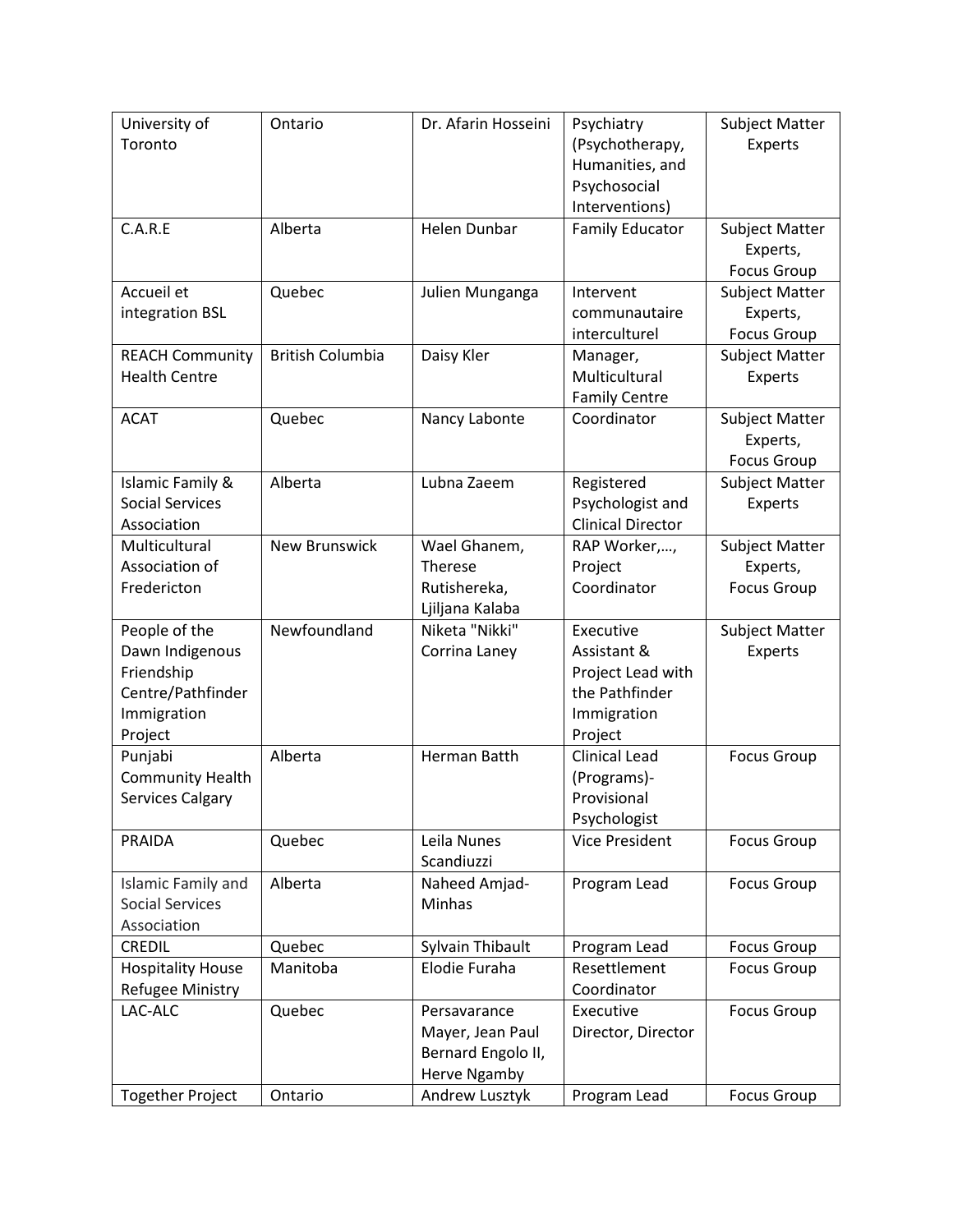| University of            | Ontario                 | Dr. Afarin Hosseini | Psychiatry               | <b>Subject Matter</b> |
|--------------------------|-------------------------|---------------------|--------------------------|-----------------------|
| Toronto                  |                         |                     | (Psychotherapy,          | Experts               |
|                          |                         |                     | Humanities, and          |                       |
|                          |                         |                     | Psychosocial             |                       |
|                          |                         |                     | Interventions)           |                       |
| C.A.R.E                  | Alberta                 | Helen Dunbar        | <b>Family Educator</b>   | <b>Subject Matter</b> |
|                          |                         |                     |                          | Experts,              |
|                          |                         |                     |                          | <b>Focus Group</b>    |
| Accueil et               | Quebec                  | Julien Munganga     | Intervent                | Subject Matter        |
| integration BSL          |                         |                     | communautaire            | Experts,              |
|                          |                         |                     | interculturel            | <b>Focus Group</b>    |
| <b>REACH Community</b>   | <b>British Columbia</b> | Daisy Kler          | Manager,                 | <b>Subject Matter</b> |
| <b>Health Centre</b>     |                         |                     | Multicultural            | Experts               |
|                          |                         |                     | <b>Family Centre</b>     |                       |
| <b>ACAT</b>              | Quebec                  | Nancy Labonte       | Coordinator              | <b>Subject Matter</b> |
|                          |                         |                     |                          | Experts,              |
|                          |                         |                     |                          | <b>Focus Group</b>    |
| Islamic Family &         | Alberta                 | Lubna Zaeem         | Registered               | <b>Subject Matter</b> |
| <b>Social Services</b>   |                         |                     | Psychologist and         | Experts               |
| Association              |                         |                     | <b>Clinical Director</b> |                       |
| Multicultural            | <b>New Brunswick</b>    | Wael Ghanem,        | RAP Worker,,             | Subject Matter        |
| Association of           |                         | Therese             | Project                  | Experts,              |
| Fredericton              |                         | Rutishereka,        | Coordinator              | <b>Focus Group</b>    |
|                          |                         | Ljiljana Kalaba     |                          |                       |
| People of the            | Newfoundland            | Niketa "Nikki"      | Executive                | <b>Subject Matter</b> |
| Dawn Indigenous          |                         | Corrina Laney       | Assistant &              | Experts               |
| Friendship               |                         |                     | Project Lead with        |                       |
| Centre/Pathfinder        |                         |                     | the Pathfinder           |                       |
| Immigration              |                         |                     | Immigration              |                       |
| Project                  |                         |                     | Project                  |                       |
| Punjabi                  | Alberta                 | Herman Batth        | <b>Clinical Lead</b>     | <b>Focus Group</b>    |
| <b>Community Health</b>  |                         |                     | (Programs)-              |                       |
| Services Calgary         |                         |                     | Provisional              |                       |
|                          |                         |                     | Psychologist             |                       |
| PRAIDA                   | Quebec                  | Leila Nunes         | <b>Vice President</b>    | <b>Focus Group</b>    |
|                          |                         | Scandiuzzi          |                          |                       |
| Islamic Family and       | Alberta                 | Naheed Amjad-       | Program Lead             | <b>Focus Group</b>    |
| <b>Social Services</b>   |                         | Minhas              |                          |                       |
| Association              |                         |                     |                          |                       |
| <b>CREDIL</b>            | Quebec                  | Sylvain Thibault    | Program Lead             | <b>Focus Group</b>    |
| <b>Hospitality House</b> | Manitoba                | Elodie Furaha       | Resettlement             | <b>Focus Group</b>    |
| <b>Refugee Ministry</b>  |                         |                     | Coordinator              |                       |
| LAC-ALC                  | Quebec                  | Persavarance        | Executive                | <b>Focus Group</b>    |
|                          |                         | Mayer, Jean Paul    | Director, Director       |                       |
|                          |                         | Bernard Engolo II,  |                          |                       |
|                          |                         | Herve Ngamby        |                          |                       |
| <b>Together Project</b>  | Ontario                 | Andrew Lusztyk      | Program Lead             | <b>Focus Group</b>    |